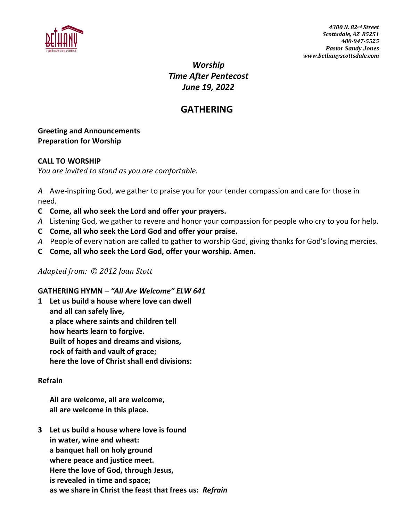

*Worship Time After Pentecost June 19, 2022*

# **GATHERING**

#### **Greeting and Announcements Preparation for Worship**

#### **CALL TO WORSHIP**

*You are invited to stand as you are comfortable.*

*A* Awe-inspiring God, we gather to praise you for your tender compassion and care for those in need*.*

- **C Come, all who seek the Lord and offer your prayers.**
- *A* Listening God, we gather to revere and honor your compassion for people who cry to you for help*.*
- **C Come, all who seek the Lord God and offer your praise.**
- *A* People of every nation are called to gather to worship God, giving thanks for God's loving mercies.
- **C Come, all who seek the Lord God, offer your worship. Amen.**

#### *Adapted from: © 2012 Joan Stott*

#### **GATHERING HYMN** – *"All Are Welcome" ELW 641*

**1 Let us build a house where love can dwell and all can safely live, a place where saints and children tell how hearts learn to forgive. Built of hopes and dreams and visions, rock of faith and vault of grace; here the love of Christ shall end divisions:**

#### **Refrain**

**All are welcome, all are welcome, all are welcome in this place.**

**3 Let us build a house where love is found in water, wine and wheat: a banquet hall on holy ground where peace and justice meet. Here the love of God, through Jesus, is revealed in time and space; as we share in Christ the feast that frees us:** *Refrain*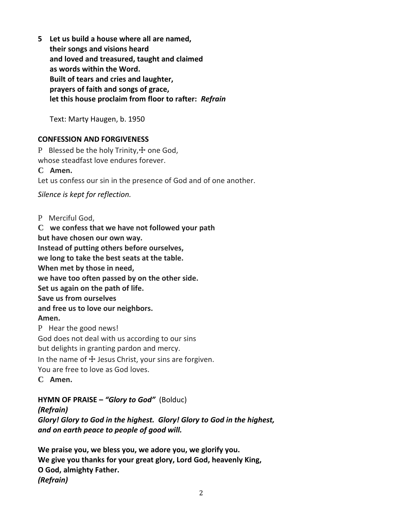**5 Let us build a house where all are named, their songs and visions heard and loved and treasured, taught and claimed as words within the Word. Built of tears and cries and laughter, prayers of faith and songs of grace, let this house proclaim from floor to rafter:** *Refrain*

Text: Marty Haugen, b. 1950

#### **CONFESSION AND FORGIVENESS**

P Blessed be the holy Trinity, $+$  one God, whose steadfast love endures forever.

**C Amen.**

Let us confess our sin in the presence of God and of one another.

*Silence is kept for reflection.*

P Merciful God,

**C we confess that we have not followed your path but have chosen our own way. Instead of putting others before ourselves, we long to take the best seats at the table. When met by those in need, we have too often passed by on the other side. Set us again on the path of life. Save us from ourselves and free us to love our neighbors. Amen.** P Hear the good news! God does not deal with us according to our sins but delights in granting pardon and mercy. In the name of  $\pm$  Jesus Christ, your sins are forgiven.

You are free to love as God loves.

**C Amen.**

**HYMN OF PRAISE –** *"Glory to God"* (Bolduc) *(Refrain) Glory! Glory to God in the highest. Glory! Glory to God in the highest, and on earth peace to people of good will.*

**We praise you, we bless you, we adore you, we glorify you. We give you thanks for your great glory, Lord God, heavenly King, O God, almighty Father.** *(Refrain)*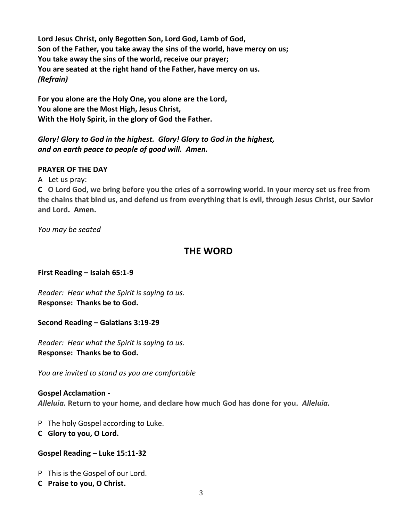**Lord Jesus Christ, only Begotten Son, Lord God, Lamb of God, Son of the Father, you take away the sins of the world, have mercy on us; You take away the sins of the world, receive our prayer; You are seated at the right hand of the Father, have mercy on us.** *(Refrain)*

**For you alone are the Holy One, you alone are the Lord, You alone are the Most High, Jesus Christ, With the Holy Spirit, in the glory of God the Father.**

*Glory! Glory to God in the highest. Glory! Glory to God in the highest, and on earth peace to people of good will. Amen.*

#### **PRAYER OF THE DAY**

A Let us pray:

**C O Lord God, we bring before you the cries of a sorrowing world. In your mercy set us free from the chains that bind us, and defend us from everything that is evil, through Jesus Christ, our Savior and Lord. Amen.**

*You may be seated*

# **THE WORD**

**First Reading – Isaiah 65:1-9**

*Reader: Hear what the Spirit is saying to us.* **Response: Thanks be to God.**

**Second Reading – Galatians 3:19-29**

*Reader: Hear what the Spirit is saying to us.* **Response: Thanks be to God.**

*You are invited to stand as you are comfortable*

**Gospel Acclamation -** *Alleluia.* **Return to your home, and declare how much God has done for you.** *Alleluia.*

P The holy Gospel according to Luke.

**C Glory to you, O Lord.**

#### **Gospel Reading – Luke 15:11-32**

P This is the Gospel of our Lord.

**C Praise to you, O Christ.**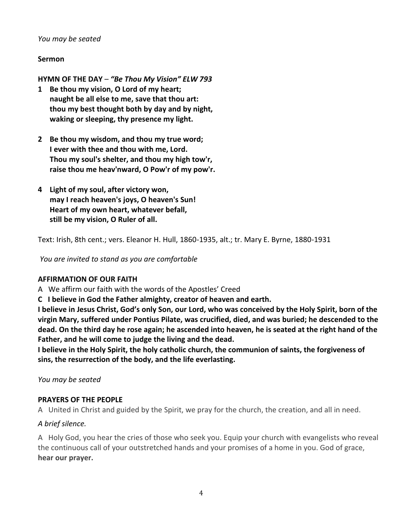#### *You may be seated*

#### **Sermon**

**HYMN OF THE DAY** – *"Be Thou My Vision" ELW 793*

- **1 Be thou my vision, O Lord of my heart; naught be all else to me, save that thou art: thou my best thought both by day and by night, waking or sleeping, thy presence my light.**
- **2 Be thou my wisdom, and thou my true word; I ever with thee and thou with me, Lord. Thou my soul's shelter, and thou my high tow'r, raise thou me heav'nward, O Pow'r of my pow'r.**
- **4 Light of my soul, after victory won, may I reach heaven's joys, O heaven's Sun! Heart of my own heart, whatever befall, still be my vision, O Ruler of all.**

Text: Irish, 8th cent.; vers. Eleanor H. Hull, 1860-1935, alt.; tr. Mary E. Byrne, 1880-1931

*You are invited to stand as you are comfortable*

#### **AFFIRMATION OF OUR FAITH**

A We affirm our faith with the words of the Apostles' Creed

**C I believe in God the Father almighty, creator of heaven and earth.**

**I believe in Jesus Christ, God's only Son, our Lord, who was conceived by the Holy Spirit, born of the virgin Mary, suffered under Pontius Pilate, was crucified, died, and was buried; he descended to the dead. On the third day he rose again; he ascended into heaven, he is seated at the right hand of the Father, and he will come to judge the living and the dead.**

**I believe in the Holy Spirit, the holy catholic church, the communion of saints, the forgiveness of sins, the resurrection of the body, and the life everlasting.**

*You may be seated*

#### **PRAYERS OF THE PEOPLE**

A United in Christ and guided by the Spirit, we pray for the church, the creation, and all in need.

#### *A brief silence.*

A Holy God, you hear the cries of those who seek you. Equip your church with evangelists who reveal the continuous call of your outstretched hands and your promises of a home in you. God of grace, **hear our prayer.**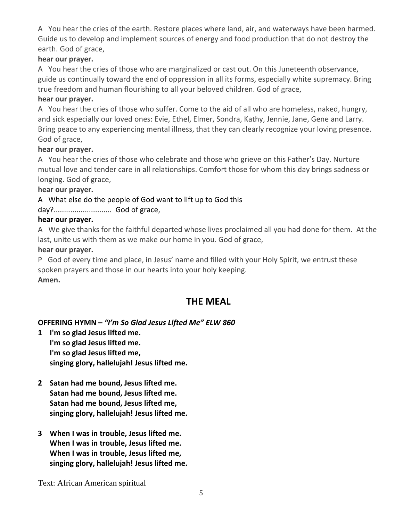A You hear the cries of the earth. Restore places where land, air, and waterways have been harmed. Guide us to develop and implement sources of energy and food production that do not destroy the earth. God of grace,

## **hear our prayer.**

A You hear the cries of those who are marginalized or cast out. On this Juneteenth observance, guide us continually toward the end of oppression in all its forms, especially white supremacy. Bring true freedom and human flourishing to all your beloved children. God of grace,

## **hear our prayer.**

A You hear the cries of those who suffer. Come to the aid of all who are homeless, naked, hungry, and sick especially our loved ones: Evie, Ethel, Elmer, Sondra, Kathy, Jennie, Jane, Gene and Larry. Bring peace to any experiencing mental illness, that they can clearly recognize your loving presence. God of grace,

## **hear our prayer.**

A You hear the cries of those who celebrate and those who grieve on this Father's Day. Nurture mutual love and tender care in all relationships. Comfort those for whom this day brings sadness or longing. God of grace,

#### **hear our prayer.**

## A What else do the people of God want to lift up to God this

## day?............................ God of grace,

#### **hear our prayer.**

A We give thanks for the faithful departed whose lives proclaimed all you had done for them. At the last, unite us with them as we make our home in you. God of grace,

#### **hear our prayer.**

P God of every time and place, in Jesus' name and filled with your Holy Spirit, we entrust these spoken prayers and those in our hearts into your holy keeping.

## **Amen.**

# **THE MEAL**

## **OFFERING HYMN –** *"I'm So Glad Jesus Lifted Me" ELW 860*

- **1 I'm so glad Jesus lifted me. I'm so glad Jesus lifted me. I'm so glad Jesus lifted me, singing glory, hallelujah! Jesus lifted me.**
- **2 Satan had me bound, Jesus lifted me. Satan had me bound, Jesus lifted me. Satan had me bound, Jesus lifted me, singing glory, hallelujah! Jesus lifted me.**
- **3 When I was in trouble, Jesus lifted me. When I was in trouble, Jesus lifted me. When I was in trouble, Jesus lifted me, singing glory, hallelujah! Jesus lifted me.**

Text: African American spiritual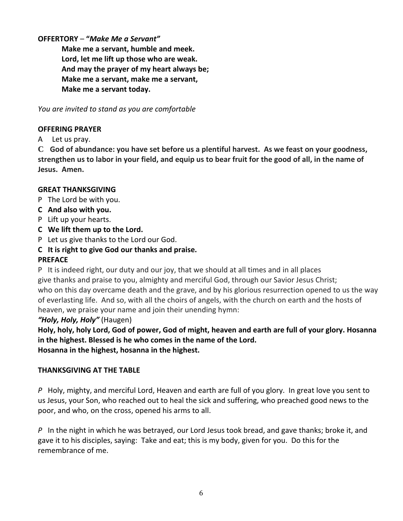## **OFFERTORY** – **"***Make Me a Servant"*

**Make me a servant, humble and meek. Lord, let me lift up those who are weak. And may the prayer of my heart always be; Make me a servant, make me a servant, Make me a servant today.**

*You are invited to stand as you are comfortable*

## **OFFERING PRAYER**

A Let us pray.

**C God of abundance: you have set before us a plentiful harvest. As we feast on your goodness, strengthen us to labor in your field, and equip us to bear fruit for the good of all, in the name of Jesus. Amen.**

#### **GREAT THANKSGIVING**

- P The Lord be with you.
- **C And also with you.**
- P Lift up your hearts.
- **C We lift them up to the Lord.**
- P Let us give thanks to the Lord our God.
- **C It is right to give God our thanks and praise.**

## **PREFACE**

P It is indeed right, our duty and our joy, that we should at all times and in all places give thanks and praise to you, almighty and merciful God, through our Savior Jesus Christ; who on this day overcame death and the grave, and by his glorious resurrection opened to us the way of everlasting life. And so, with all the choirs of angels, with the church on earth and the hosts of heaven, we praise your name and join their unending hymn:

## *"Holy, Holy, Holy"* (Haugen)

**Holy, holy, holy Lord, God of power, God of might, heaven and earth are full of your glory. Hosanna in the highest. Blessed is he who comes in the name of the Lord. Hosanna in the highest, hosanna in the highest.**

## **THANKSGIVING AT THE TABLE**

*P* Holy, mighty, and merciful Lord, Heaven and earth are full of you glory. In great love you sent to us Jesus, your Son, who reached out to heal the sick and suffering, who preached good news to the poor, and who, on the cross, opened his arms to all.

*P* In the night in which he was betrayed, our Lord Jesus took bread, and gave thanks; broke it, and gave it to his disciples, saying: Take and eat; this is my body, given for you. Do this for the remembrance of me.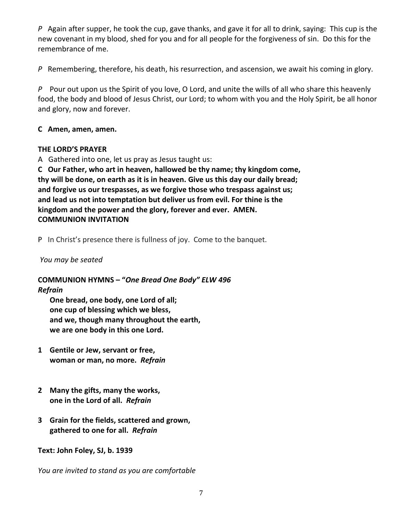*P* Again after supper, he took the cup, gave thanks, and gave it for all to drink, saying: This cup is the new covenant in my blood, shed for you and for all people for the forgiveness of sin. Do this for the remembrance of me.

*P* Remembering, therefore, his death, his resurrection, and ascension, we await his coming in glory.

*P* Pour out upon us the Spirit of you love, O Lord, and unite the wills of all who share this heavenly food, the body and blood of Jesus Christ, our Lord; to whom with you and the Holy Spirit, be all honor and glory, now and forever.

#### **C Amen, amen, amen.**

#### **THE LORD'S PRAYER**

A Gathered into one, let us pray as Jesus taught us:

**C Our Father, who art in heaven, hallowed be thy name; thy kingdom come, thy will be done, on earth as it is in heaven. Give us this day our daily bread; and forgive us our trespasses, as we forgive those who trespass against us; and lead us not into temptation but deliver us from evil. For thine is the kingdom and the power and the glory, forever and ever. AMEN. COMMUNION INVITATION**

P In Christ's presence there is fullness of joy. Come to the banquet.

## *You may be seated*

#### **COMMUNION HYMNS – "***One Bread One Body" ELW 496 Refrain*

**One bread, one body, one Lord of all; one cup of blessing which we bless, and we, though many throughout the earth, we are one body in this one Lord.**

- **1 Gentile or Jew, servant or free, woman or man, no more.** *Refrain*
- **2 Many the gifts, many the works, one in the Lord of all.** *Refrain*
- **3 Grain for the fields, scattered and grown, gathered to one for all.** *Refrain*

## **Text: John Foley, SJ, b. 1939**

*You are invited to stand as you are comfortable*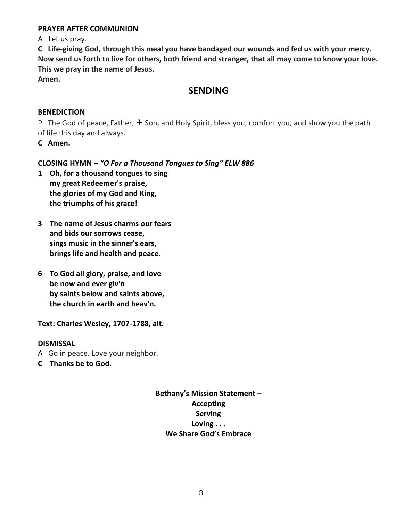#### **PRAYER AFTER COMMUNION**

A Let us pray.

**C Life-giving God, through this meal you have bandaged our wounds and fed us with your mercy. Now send us forth to live for others, both friend and stranger, that all may come to know your love. This we pray in the name of Jesus.**

**Amen.**

## **SENDING**

#### **BENEDICTION**

P The God of peace, Father,  $\pm$  Son, and Holy Spirit, bless you, comfort you, and show you the path of life this day and always.

**C Amen.**

## **CLOSING HYMN** – *"O For a Thousand Tongues to Sing" ELW 886*

- **1 Oh, for a thousand tongues to sing my great Redeemer's praise, the glories of my God and King, the triumphs of his grace!**
- **3 The name of Jesus charms our fears and bids our sorrows cease, sings music in the sinner's ears, brings life and health and peace.**
- **6 To God all glory, praise, and love be now and ever giv'n by saints below and saints above, the church in earth and heav'n.**

**Text: Charles Wesley, 1707-1788, alt.**

#### **DISMISSAL**

- A Go in peace. Love your neighbor.
- **C Thanks be to God.**

**Bethany's Mission Statement – Accepting Serving Loving . . . We Share God's Embrace**